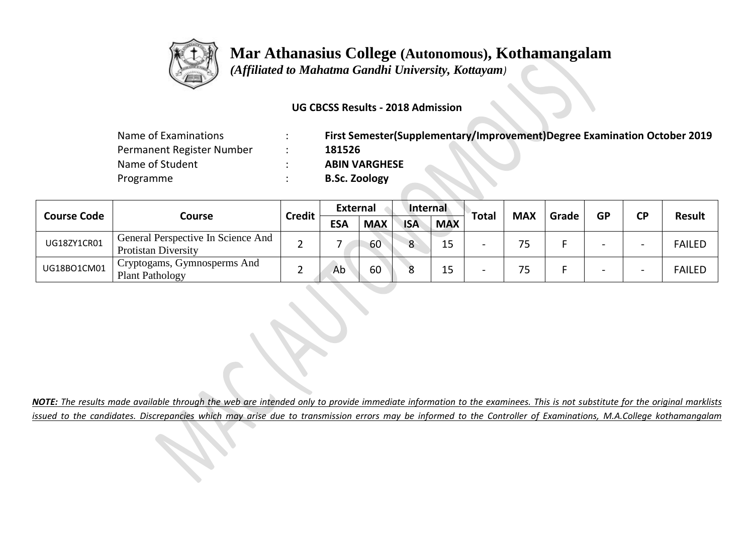

 *(Affiliated to Mahatma Gandhi University, Kottayam)*

#### **UG CBCSS Results - 2018 Admission**

| Name of Examinations      | First Semester(Supplementary/Improvement)Degree Examination October 2019 |
|---------------------------|--------------------------------------------------------------------------|
| Permanent Register Number | 181526                                                                   |
| Name of Student           | <b>ABIN VARGHESE</b>                                                     |
| Programme                 | <b>B.Sc. Zoology</b>                                                     |

| <b>Course Code</b> |                                                                  | <b>Credit</b> | <b>External</b> |            | Internal   |            | <b>Total</b> | <b>MAX</b> |       | <b>GP</b>                | <b>CP</b>                | <b>Result</b> |
|--------------------|------------------------------------------------------------------|---------------|-----------------|------------|------------|------------|--------------|------------|-------|--------------------------|--------------------------|---------------|
|                    | Course                                                           |               | <b>ESA</b>      | <b>MAX</b> | <b>ISA</b> | <b>MAX</b> |              |            | Grade |                          |                          |               |
| UG18ZY1CR01        | General Perspective In Science And<br><b>Protistan Diversity</b> |               |                 | 60         | $\circ$    | 15         |              | 75         |       | $\overline{\phantom{0}}$ | $\overline{\phantom{0}}$ | <b>FAILED</b> |
| UG18BO1CM01        | ' Cryptogams, Gymnosperms And<br><b>Plant Pathology</b>          |               | Ab              | 60         |            |            |              | 75         |       |                          | $\overline{\phantom{0}}$ | <b>FAILED</b> |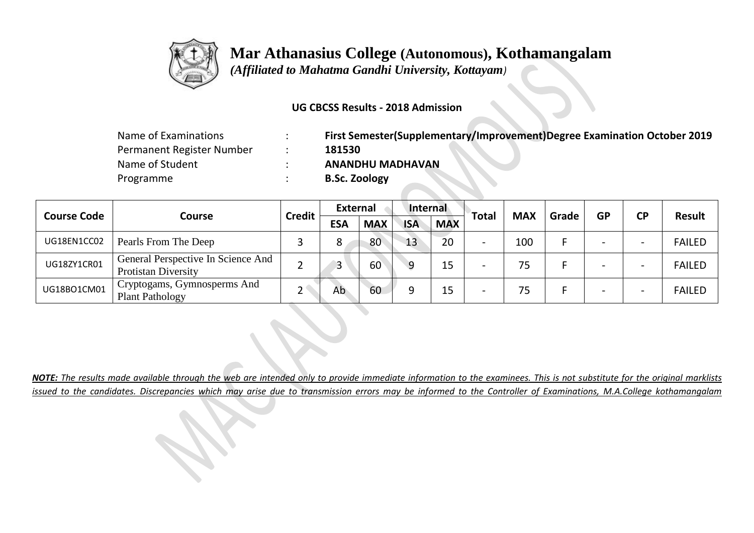

 *(Affiliated to Mahatma Gandhi University, Kottayam)*

### **UG CBCSS Results - 2018 Admission**

| Name of Examinations      | First Semester(Supplementary/Improvement)Degree Examination October 2019 |
|---------------------------|--------------------------------------------------------------------------|
| Permanent Register Number | 181530                                                                   |
| Name of Student           | <b>ANANDHU MADHAVAN</b>                                                  |
| Programme                 | <b>B.Sc. Zoology</b>                                                     |

|                    |                                                                  |               | External   |            | Internal   |            |              | <b>MAX</b> | Grade | <b>GP</b> | <b>CP</b>                | Result        |
|--------------------|------------------------------------------------------------------|---------------|------------|------------|------------|------------|--------------|------------|-------|-----------|--------------------------|---------------|
| <b>Course Code</b> | <b>Course</b>                                                    | <b>Credit</b> | <b>ESA</b> | <b>MAX</b> | <b>ISA</b> | <b>MAX</b> | <b>Total</b> |            |       |           |                          |               |
| UG18EN1CC02        | Pearls From The Deep                                             |               | Ω          | 80         | 13         | 20         |              | 100        |       |           | $\overline{\phantom{0}}$ | <b>FAILED</b> |
| UG18ZY1CR01        | General Perspective In Science And<br><b>Protistan Diversity</b> |               | 2          | 60         | 9          |            |              | 75         |       |           | $\overline{\phantom{0}}$ | <b>FAILED</b> |
| UG18BO1CM01        | Cryptogams, Gymnosperms And<br><b>Plant Pathology</b>            |               | Ab         | 60         |            | 15         |              | 75         |       |           | $\overline{\phantom{0}}$ | <b>FAILED</b> |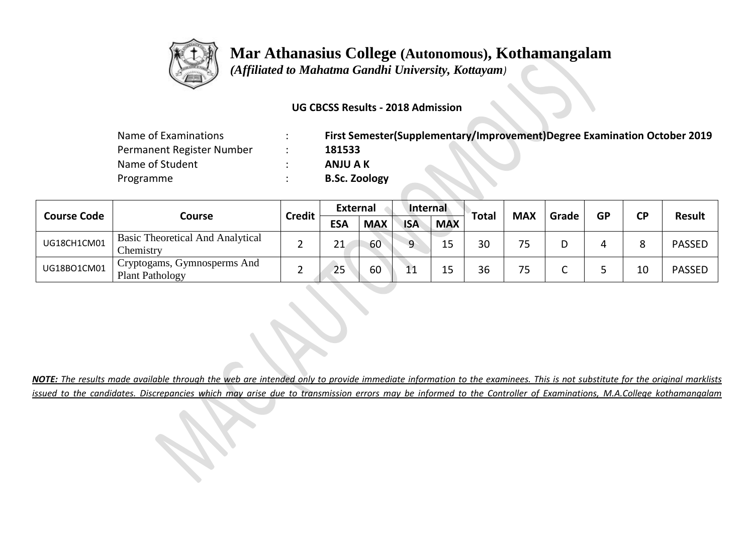

 *(Affiliated to Mahatma Gandhi University, Kottayam)*

### **UG CBCSS Results - 2018 Admission**

| Name of Examinations      | First Semester(Supplementary/Improvement)Degree Examination October 2019 |
|---------------------------|--------------------------------------------------------------------------|
| Permanent Register Number | 181533                                                                   |
| Name of Student           | ANJU A K                                                                 |
| Programme                 | <b>B.Sc. Zoology</b>                                                     |

| <b>Course Code</b> |                                                                    | <b>Credit</b> | <b>External</b> |            | Internal   |            | <b>Total</b> | <b>MAX</b> | Grade | <b>GP</b> | <b>CP</b> | Result        |
|--------------------|--------------------------------------------------------------------|---------------|-----------------|------------|------------|------------|--------------|------------|-------|-----------|-----------|---------------|
|                    | Course                                                             |               | <b>ESA</b>      | <b>MAX</b> | <b>ISA</b> | <b>MAX</b> |              |            |       |           |           |               |
| UG18CH1CM01        | <b>Basic Theoretical And Analytical</b><br>Chemistry               |               | 21              | 60         | ∩          |            | 30           | 75         |       |           | Ο         | <b>PASSED</b> |
| UG18BO1CM01        | <sup>1</sup> Cryptogams, Gymnosperms And<br><b>Plant Pathology</b> |               | 25              | 60         |            |            | 36           | 75         |       |           | 10        | <b>PASSED</b> |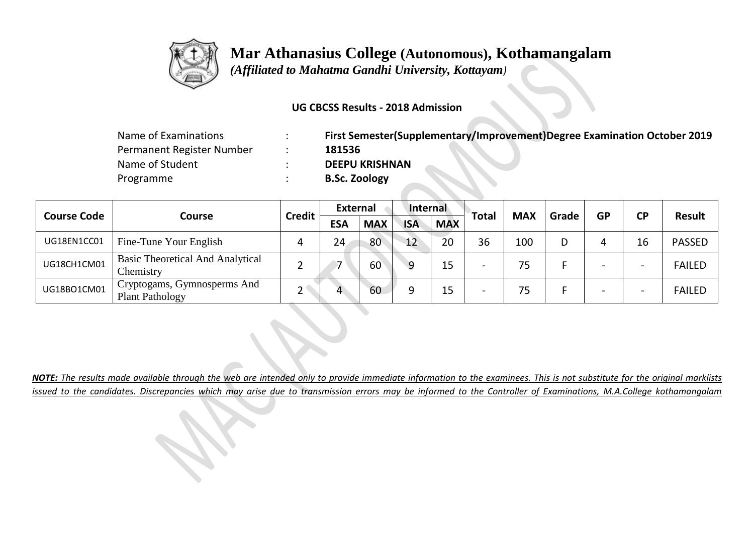

 *(Affiliated to Mahatma Gandhi University, Kottayam)*

### **UG CBCSS Results - 2018 Admission**

| Name of Examinations      | First Semester(Supplementary/Improvement)Degree Examination October 2019 |
|---------------------------|--------------------------------------------------------------------------|
| Permanent Register Number | 181536                                                                   |
| Name of Student           | <b>DEEPU KRISHNAN</b>                                                    |
| Programme                 | <b>B.Sc. Zoology</b>                                                     |

| <b>Course Code</b> |                                                       | <b>Credit</b> | <b>External</b> |            | Internal   |            |              | <b>MAX</b> | Grade | <b>GP</b>                | <b>CP</b>                | Result        |
|--------------------|-------------------------------------------------------|---------------|-----------------|------------|------------|------------|--------------|------------|-------|--------------------------|--------------------------|---------------|
|                    | Course                                                |               | <b>ESA</b>      | <b>MAX</b> | <b>ISA</b> | <b>MAX</b> | <b>Total</b> |            |       |                          |                          |               |
| UG18EN1CC01        | Fine-Tune Your English                                |               | 24              | 80         | 12         | 20         | 36           | 100        |       |                          | 16                       | <b>PASSED</b> |
| UG18CH1CM01        | <b>Basic Theoretical And Analytical</b><br>Chemistry  |               |                 | 60         | a          | 15         |              | 75         |       | $\overline{\phantom{0}}$ | $\overline{\phantom{0}}$ | <b>FAILED</b> |
| UG18BO1CM01        | Cryptogams, Gymnosperms And<br><b>Plant Pathology</b> |               |                 | 60         |            | 15         |              | 75         |       | $\overline{\phantom{0}}$ | $\overline{\phantom{0}}$ | <b>FAILED</b> |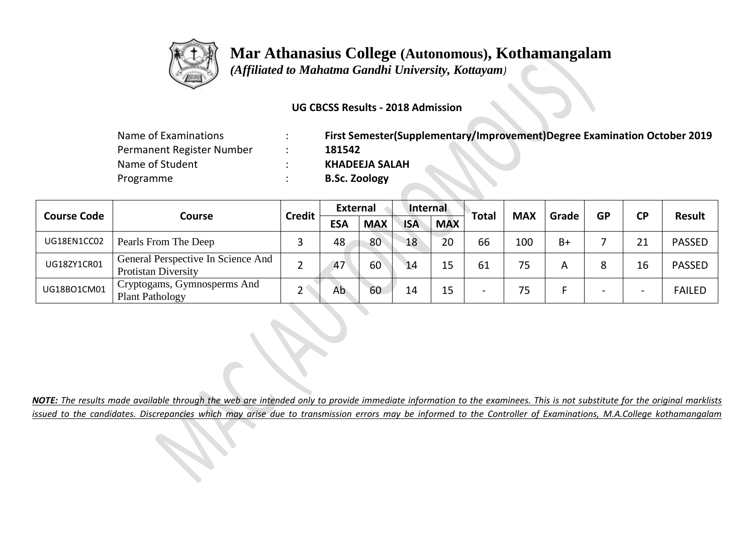

 *(Affiliated to Mahatma Gandhi University, Kottayam)*

### **UG CBCSS Results - 2018 Admission**

| Name of Examinations      | First Semester(Supplementary/Improvement)Degree Examination October 2019 |
|---------------------------|--------------------------------------------------------------------------|
| Permanent Register Number | 181542                                                                   |
| Name of Student           | <b>KHADEEJA SALAH</b>                                                    |
| Programme                 | <b>B.Sc. Zoology</b>                                                     |

| <b>Course Code</b> |                                                                  | <b>Credit</b> | <b>External</b> |            | Internal   |            |              | <b>MAX</b> | Grade | <b>GP</b> | <b>CP</b>                | <b>Result</b> |
|--------------------|------------------------------------------------------------------|---------------|-----------------|------------|------------|------------|--------------|------------|-------|-----------|--------------------------|---------------|
|                    | Course                                                           |               | <b>ESA</b>      | <b>MAX</b> | <b>ISA</b> | <b>MAX</b> | <b>Total</b> |            |       |           |                          |               |
| UG18EN1CC02        | Pearls From The Deep                                             |               | 48              | 80         | 18         | 20         | 66           | 100        | $B+$  |           | 21                       | <b>PASSED</b> |
| UG18ZY1CR01        | General Perspective In Science And<br><b>Protistan Diversity</b> |               | 47              | 60         | 14         | 15         | 61           | 75         | А     |           | 16                       | <b>PASSED</b> |
| UG18BO1CM01        | Cryptogams, Gymnosperms And<br><b>Plant Pathology</b>            |               | Ab              | 60         | 14         | 15         |              | 75         |       | -         | $\overline{\phantom{0}}$ | <b>FAILED</b> |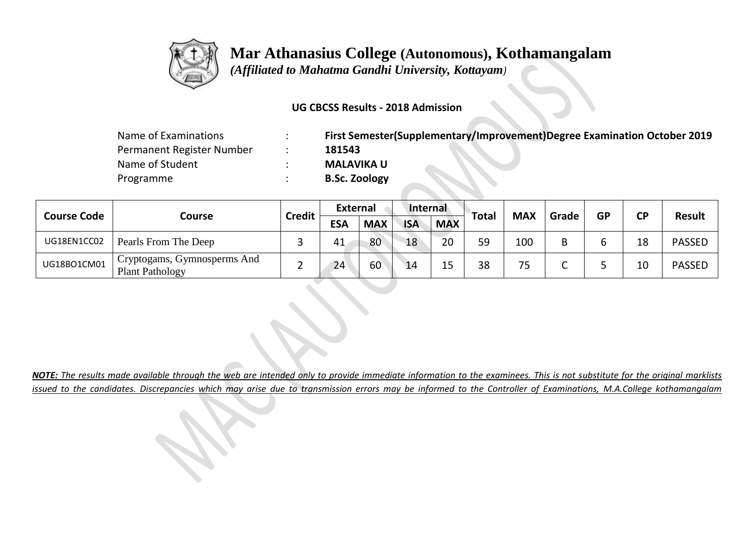

 *(Affiliated to Mahatma Gandhi University, Kottayam)*

#### **UG CBCSS Results - 2018 Admission**

| Name of Examinations      | First Semester(Supplementary/Improvement)Degree Examination October 2019 |
|---------------------------|--------------------------------------------------------------------------|
| Permanent Register Number | 181543                                                                   |
| Name of Student           | <b>MALAVIKA U</b>                                                        |
| Programme                 | <b>B.Sc. Zoology</b>                                                     |

| <b>Course Code</b> |                                                                    |               | <b>External</b> |            | Internal   |            |       | <b>MAX</b> | Grade | <b>GP</b> | <b>CP</b> | <b>Result</b> |
|--------------------|--------------------------------------------------------------------|---------------|-----------------|------------|------------|------------|-------|------------|-------|-----------|-----------|---------------|
|                    | Course                                                             | <b>Credit</b> | <b>ESA</b>      | <b>MAX</b> | <b>ISA</b> | <b>MAX</b> | Total |            |       |           |           |               |
| UG18EN1CC02        | Pearls From The Deep                                               |               | 41              | 80         | 18         | 20         | 59    | 100        |       | b         | 18        | <b>PASSED</b> |
| UG18BO1CM01        | <sup>1</sup> Cryptogams, Gymnosperms And<br><b>Plant Pathology</b> |               | 24              | 60         | 14         |            | 38    | 75         |       |           | 10        | <b>PASSED</b> |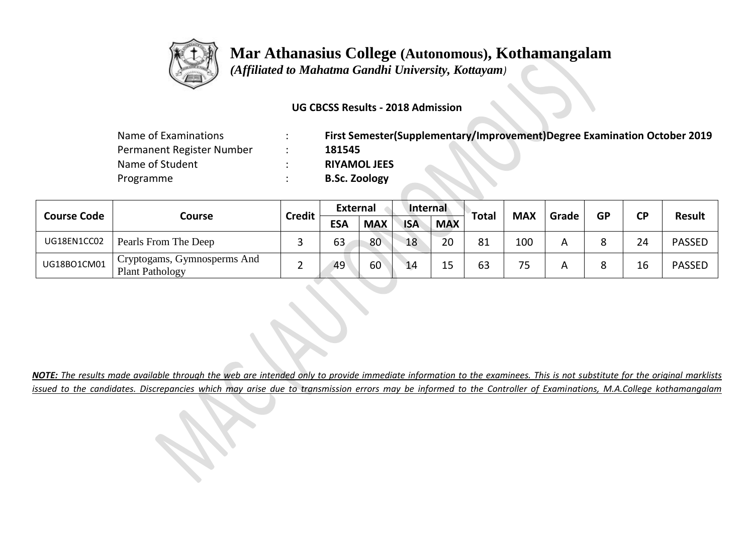

 *(Affiliated to Mahatma Gandhi University, Kottayam)*

#### **UG CBCSS Results - 2018 Admission**

| Name of Examinations      | $\cdot$<br>$\cdot$ | First Semester(Supplementary/Improvement)Degree Examination October 2019 |
|---------------------------|--------------------|--------------------------------------------------------------------------|
| Permanent Register Number |                    | 181545                                                                   |
| Name of Student           |                    | <b>RIYAMOL JEES</b>                                                      |
| Programme                 |                    | <b>B.Sc. Zoology</b>                                                     |

| <b>Course Code</b> |                                                  |               | External   |            | Internal   |            |              |            | Grade | <b>GP</b>    | <b>CP</b> | <b>Result</b> |
|--------------------|--------------------------------------------------|---------------|------------|------------|------------|------------|--------------|------------|-------|--------------|-----------|---------------|
|                    | Course                                           | <b>Credit</b> | <b>ESA</b> | <b>MAX</b> | <b>ISA</b> | <b>MAX</b> | <b>Total</b> | <b>MAX</b> |       |              |           |               |
| UG18EN1CC02        | Pearls From The Deep                             |               | 63         | 80         | 18         | 20         | 81           | 100        |       | O            | 24        | <b>PASSED</b> |
| UG18BO1CM01        | ' Cryptogams, Gymnosperms And<br>Plant Pathology |               | 49         | 60         | 14         |            | 63           | 75         |       | $\circ$<br>٥ | 16        | <b>PASSED</b> |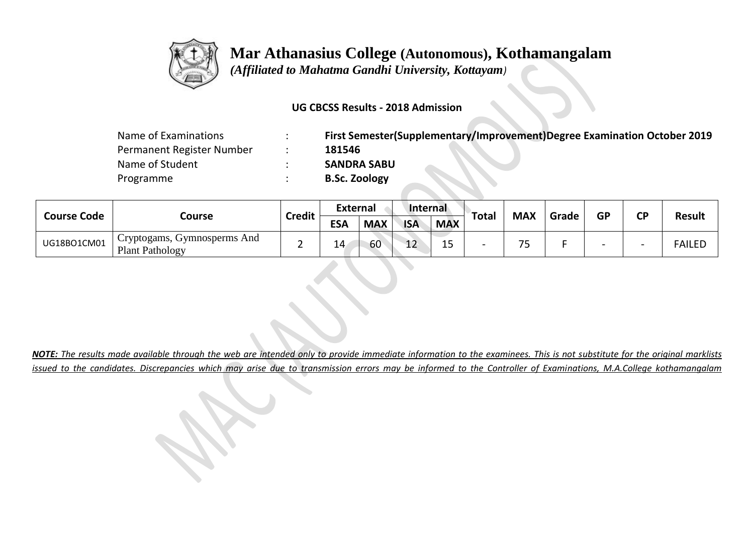

 *(Affiliated to Mahatma Gandhi University, Kottayam)*

#### **UG CBCSS Results - 2018 Admission**

| Name of Examinations      | $\cdot$ | First Semester(Supplementary/Improvement)Degree Examination October 2019 |
|---------------------------|---------|--------------------------------------------------------------------------|
| Permanent Register Number |         | 181546                                                                   |
| Name of Student           |         | <b>SANDRA SABU</b>                                                       |
| Programme                 |         | <b>B.Sc. Zoology</b>                                                     |

| <b>Course Code</b> |                                                       |               | <b>External</b> |            | Internal   |            |              |               | Grade | <b>GP</b> |                          | <b>Result</b> |
|--------------------|-------------------------------------------------------|---------------|-----------------|------------|------------|------------|--------------|---------------|-------|-----------|--------------------------|---------------|
|                    | Course                                                | <b>Credit</b> | <b>ESA</b>      | <b>MAX</b> | <b>ISA</b> | <b>MAX</b> | <b>Total</b> | <b>MAX</b>    |       |           | <b>CP</b>                |               |
| UG18BO1CM01        | Cryptogams, Gymnosperms And<br><b>Plant Pathology</b> |               | 14              | 60         | ᅩᄼ         | --         |              | $\neg r$<br>ت |       | -         | $\overline{\phantom{0}}$ | <b>FAILED</b> |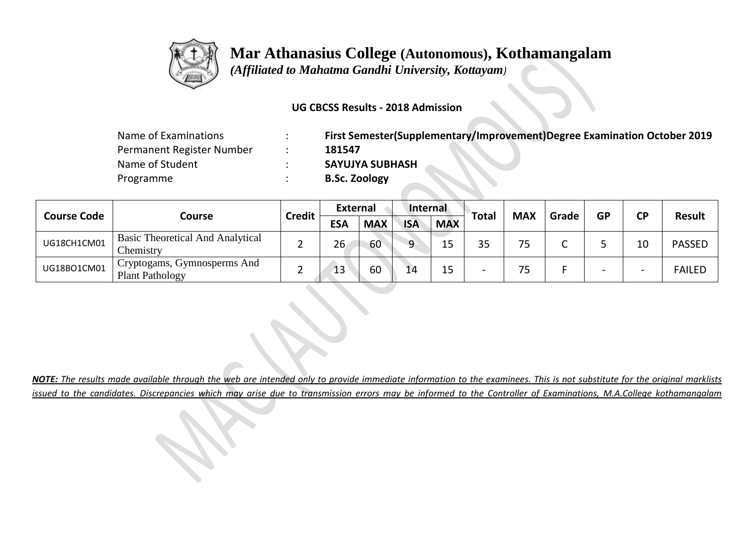

 *(Affiliated to Mahatma Gandhi University, Kottayam)*

### **UG CBCSS Results - 2018 Admission**

| Name of Examinations      | First Semester(Supplementary/Improvement)Degree Examination October 2019 |
|---------------------------|--------------------------------------------------------------------------|
| Permanent Register Number | 181547                                                                   |
| Name of Student           | <b>SAYUJYA SUBHASH</b>                                                   |
| Programme                 | <b>B.Sc. Zoology</b>                                                     |

| <b>Course Code</b> |                                                                    | <b>Credit</b> | <b>External</b> |            | Internal   |            | <b>Total</b> | <b>MAX</b> | Grade | <b>GP</b>                | <b>CP</b>                | Result        |
|--------------------|--------------------------------------------------------------------|---------------|-----------------|------------|------------|------------|--------------|------------|-------|--------------------------|--------------------------|---------------|
|                    | Course                                                             |               | <b>ESA</b>      | <b>MAX</b> | <b>ISA</b> | <b>MAX</b> |              |            |       |                          |                          |               |
| UG18CH1CM01        | <b>Basic Theoretical And Analytical</b><br>Chemistry               |               | 26              | 60         | ∩          |            | つに<br>ر_ر    | 75         |       |                          | 10                       | <b>PASSED</b> |
| UG18BO1CM01        | <sup>1</sup> Cryptogams, Gymnosperms And<br><b>Plant Pathology</b> |               | 13              | 60         |            | 15         |              | 75         |       | $\overline{\phantom{0}}$ | $\overline{\phantom{0}}$ | <b>FAILED</b> |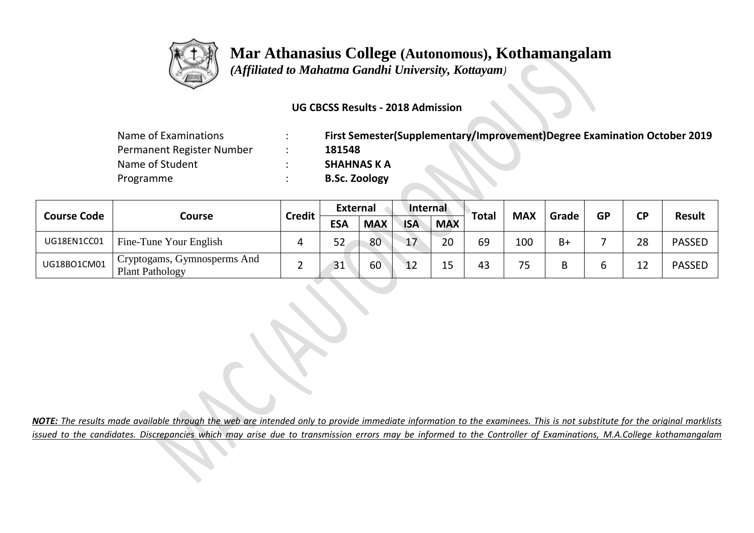

 *(Affiliated to Mahatma Gandhi University, Kottayam)*

#### **UG CBCSS Results - 2018 Admission**

| Name of Examinations      | First Semester(Supplementary/Improvement)Degree Examination October 2019 |
|---------------------------|--------------------------------------------------------------------------|
| Permanent Register Number | 181548                                                                   |
| Name of Student           | <b>SHAHNAS K A</b>                                                       |
| Programme                 | <b>B.Sc. Zoology</b>                                                     |

|                    |                                                                    |               | <b>External</b> |            | Internal   |            |              |            |       | <b>GP</b> |           | <b>Result</b> |
|--------------------|--------------------------------------------------------------------|---------------|-----------------|------------|------------|------------|--------------|------------|-------|-----------|-----------|---------------|
| <b>Course Code</b> | Course                                                             | <b>Credit</b> | <b>ESA</b>      | <b>MAX</b> | <b>ISA</b> | <b>MAX</b> | <b>Total</b> | <b>MAX</b> | Grade |           | <b>CP</b> |               |
| UG18EN1CC01        | Fine-Tune Your English                                             |               | 52              | 80         | 17         | 20         | 69           | 100        | $B+$  |           | 28        | <b>PASSED</b> |
| UG18BO1CM01        | <sup>1</sup> Cryptogams, Gymnosperms And<br><b>Plant Pathology</b> |               | 31              | 60         | 12         |            | 43           | 75         |       | ь         | 12        | <b>PASSED</b> |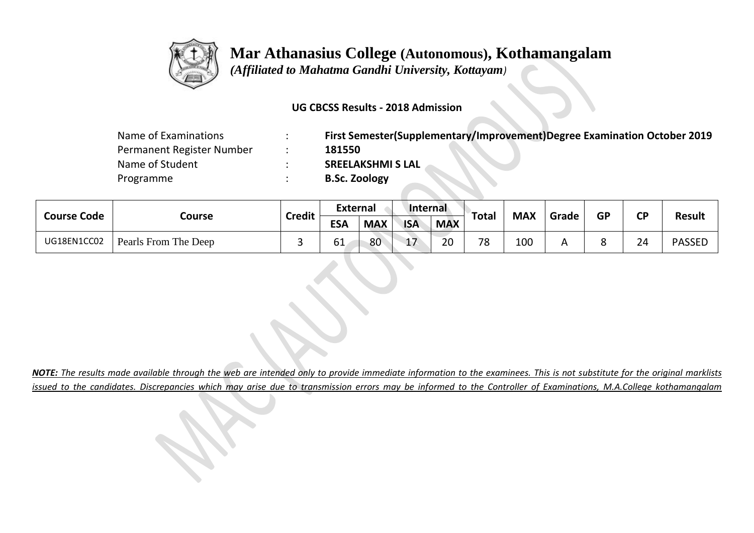

 *(Affiliated to Mahatma Gandhi University, Kottayam)*

#### **UG CBCSS Results - 2018 Admission**

| Name of Examinations      | First Semester(Supplementary/Improvement)Degree Examination October 2019 |
|---------------------------|--------------------------------------------------------------------------|
| Permanent Register Number | 181550                                                                   |
| Name of Student           | <b>SREELAKSHMI S LAL</b>                                                 |
| Programme                 | <b>B.Sc. Zoology</b>                                                     |

| <b>Course Code</b> | Course               | <b>Credit</b> | <b>External</b> |            | Internal       |            | Total | <b>MAX</b> | Grade | <b>GP</b> | <b>CP</b> | <b>Result</b> |
|--------------------|----------------------|---------------|-----------------|------------|----------------|------------|-------|------------|-------|-----------|-----------|---------------|
|                    |                      |               | <b>ESA</b>      | <b>MAX</b> | <b>ISA</b>     | <b>MAX</b> |       |            |       |           |           |               |
| UG18EN1CC02        | Pearls From The Deep |               | 61              | 80         | $\overline{1}$ | 20         | 78    | 100        |       | Ω<br>٥    | 24        | <b>PASSED</b> |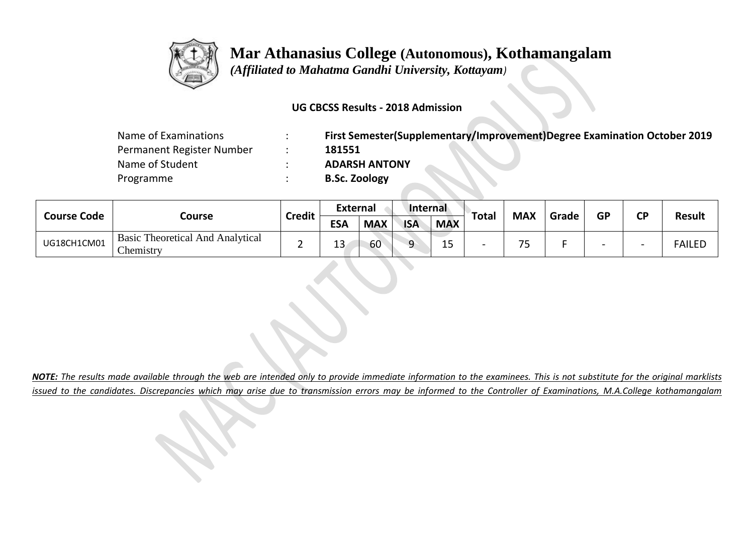

 *(Affiliated to Mahatma Gandhi University, Kottayam)*

### **UG CBCSS Results - 2018 Admission**

| Name of Examinations      | First Semester(Supplementary/Improvement)Degree Examination October 2019 |
|---------------------------|--------------------------------------------------------------------------|
| Permanent Register Number | 181551                                                                   |
| Name of Student           | <b>ADARSH ANTONY</b>                                                     |
| Programme                 | <b>B.Sc. Zoology</b>                                                     |

| <b>Course Code</b> |                                                      | <b>Credit</b> | <b>External</b> |            | Internal   |            |       |                       | Grade |           |           |               |
|--------------------|------------------------------------------------------|---------------|-----------------|------------|------------|------------|-------|-----------------------|-------|-----------|-----------|---------------|
|                    | Course                                               |               | <b>ESA</b>      | <b>MAX</b> | <b>ISA</b> | <b>MAX</b> | Total | <b>MAX</b>            |       | <b>GP</b> | <b>CP</b> | <b>Result</b> |
| UG18CH1CM01        | <b>Basic Theoretical And Analytical</b><br>Chemistry |               | . .<br>13       | 60         |            | --         |       | 7 <sub>0</sub><br>د ' |       |           | -         | <b>FAILED</b> |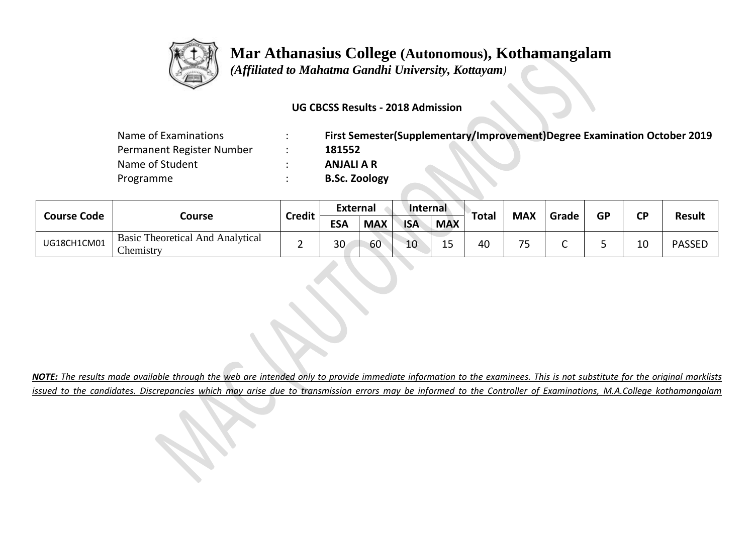

 *(Affiliated to Mahatma Gandhi University, Kottayam)*

### **UG CBCSS Results - 2018 Admission**

| Name of Examinations      | First Semester(Supplementary/Improvement)Degree Examination October 2019 |
|---------------------------|--------------------------------------------------------------------------|
| Permanent Register Number | 181552                                                                   |
| Name of Student           | <b>ANJALI A R</b>                                                        |
| Programme                 | <b>B.Sc. Zoology</b>                                                     |

| <b>Course Code</b> | Course                                               | <b>Credit</b> | <b>External</b> |            | Internal   |                     |       |            |       |           |           |               |
|--------------------|------------------------------------------------------|---------------|-----------------|------------|------------|---------------------|-------|------------|-------|-----------|-----------|---------------|
|                    |                                                      |               | <b>ESA</b>      | <b>MAX</b> | <b>ISA</b> | <b>MAX</b>          | Total | <b>MAX</b> | Grade | <b>GP</b> | <b>CP</b> | <b>Result</b> |
| UG18CH1CM01        | <b>Basic Theoretical And Analytical</b><br>Chemistry |               | 30              | 60         | 10         | $\sim$ $\sim$<br>∸~ | 40    | 75         |       |           | 10        | <b>PASSED</b> |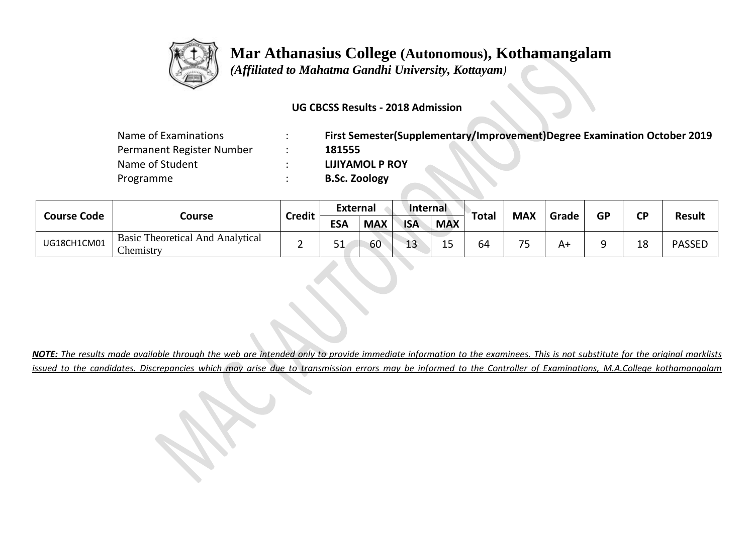

 *(Affiliated to Mahatma Gandhi University, Kottayam)*

#### **UG CBCSS Results - 2018 Admission**

| Name of Examinations      | First Semester(Supplementary/Improvement)Degree Examination October 2019 |
|---------------------------|--------------------------------------------------------------------------|
| Permanent Register Number | 181555                                                                   |
| Name of Student           | <b>LIJIYAMOL P ROY</b>                                                   |
| Programme                 | <b>B.Sc. Zoology</b>                                                     |

| <b>Course Code</b> | Course                                               | <b>Credit</b> | <b>External</b> |            | Internal   |            |       |            |       |           |           |               |
|--------------------|------------------------------------------------------|---------------|-----------------|------------|------------|------------|-------|------------|-------|-----------|-----------|---------------|
|                    |                                                      |               | <b>ESA</b>      | <b>MAX</b> | <b>ISA</b> | <b>MAX</b> | Total | <b>MAX</b> | Grade | <b>GP</b> | <b>CP</b> | <b>Result</b> |
| UG18CH1CM01        | <b>Basic Theoretical And Analytical</b><br>Chemistry |               | JГ              | 60         | 13         | . –<br>∸~  | 64    | 75<br>-    | A٦    |           | 18        | <b>PASSED</b> |